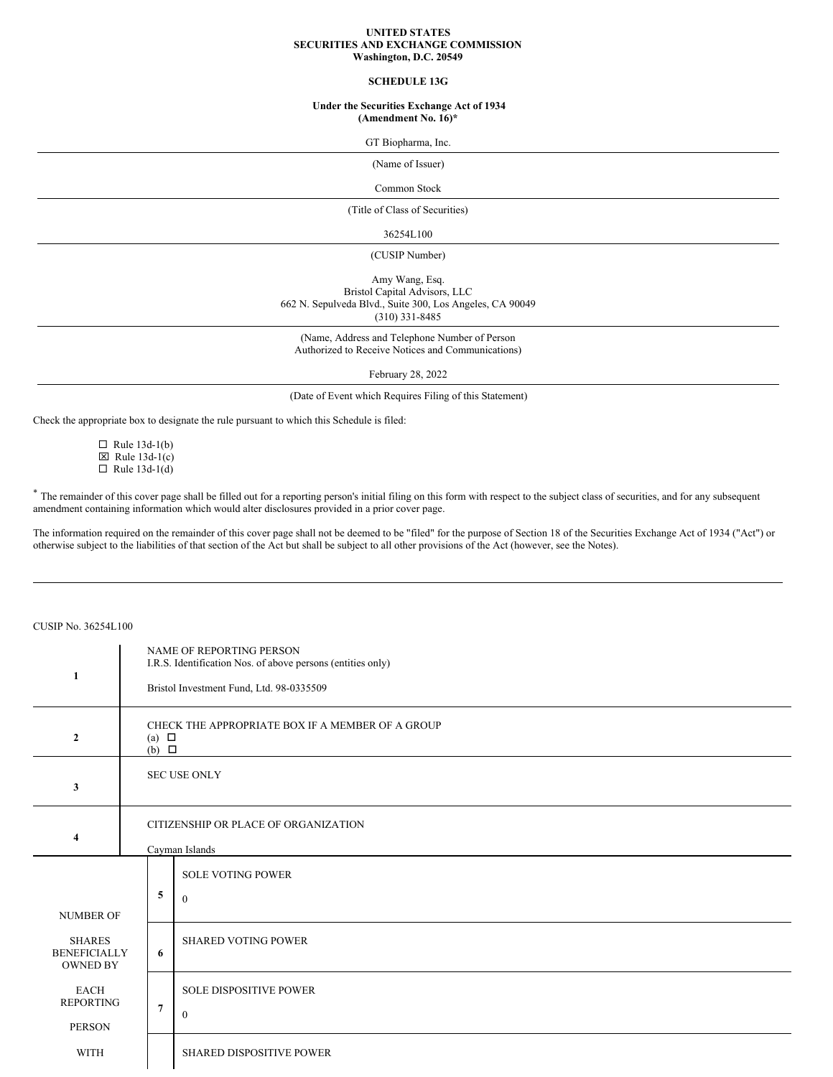#### **UNITED STATES SECURITIES AND EXCHANGE COMMISSION Washington, D.C. 20549**

# **SCHEDULE 13G**

#### **Under the Securities Exchange Act of 1934 (Amendment No. 16)\***

GT Biopharma, Inc. (Name of Issuer)

Common Stock

(Title of Class of Securities)

36254L100

(CUSIP Number)

Amy Wang, Esq. Bristol Capital Advisors, LLC 662 N. Sepulveda Blvd., Suite 300, Los Angeles, CA 90049 (310) 331-8485

(Name, Address and Telephone Number of Person Authorized to Receive Notices and Communications)

February 28, 2022

(Date of Event which Requires Filing of this Statement)

Check the appropriate box to designate the rule pursuant to which this Schedule is filed:

 $\Box$  Rule 13d-1(b)  $\boxtimes$  Rule 13d-1(c)  $\Box$  Rule 13d-1(d)

\* The remainder of this cover page shall be filled out for a reporting person's initial filing on this form with respect to the subject class of securities, and for any subsequent amendment containing information which would alter disclosures provided in a prior cover page.

The information required on the remainder of this cover page shall not be deemed to be "filed" for the purpose of Section 18 of the Securities Exchange Act of 1934 ("Act") or otherwise subject to the liabilities of that section of the Act but shall be subject to all other provisions of the Act (however, see the Notes).

# CUSIP No. 36254L100

| 1                                                       |                                                        | <b>NAME OF REPORTING PERSON</b><br>I.R.S. Identification Nos. of above persons (entities only)<br>Bristol Investment Fund, Ltd. 98-0335509 |                                               |  |
|---------------------------------------------------------|--------------------------------------------------------|--------------------------------------------------------------------------------------------------------------------------------------------|-----------------------------------------------|--|
| $\mathbf{2}$                                            |                                                        | CHECK THE APPROPRIATE BOX IF A MEMBER OF A GROUP<br>(a) $\Box$<br>$(b)$ $\square$                                                          |                                               |  |
| 3                                                       |                                                        | <b>SEC USE ONLY</b>                                                                                                                        |                                               |  |
| $\overline{\bf 4}$                                      | CITIZENSHIP OR PLACE OF ORGANIZATION<br>Cayman Islands |                                                                                                                                            |                                               |  |
| <b>NUMBER OF</b>                                        |                                                        | 5                                                                                                                                          | <b>SOLE VOTING POWER</b><br>$\mathbf{0}$      |  |
| <b>SHARES</b><br><b>BENEFICIALLY</b><br><b>OWNED BY</b> |                                                        | 6                                                                                                                                          | <b>SHARED VOTING POWER</b>                    |  |
| <b>EACH</b><br><b>REPORTING</b><br><b>PERSON</b>        |                                                        | $\overline{7}$                                                                                                                             | <b>SOLE DISPOSITIVE POWER</b><br>$\mathbf{0}$ |  |
| <b>WITH</b>                                             |                                                        |                                                                                                                                            | <b>SHARED DISPOSITIVE POWER</b>               |  |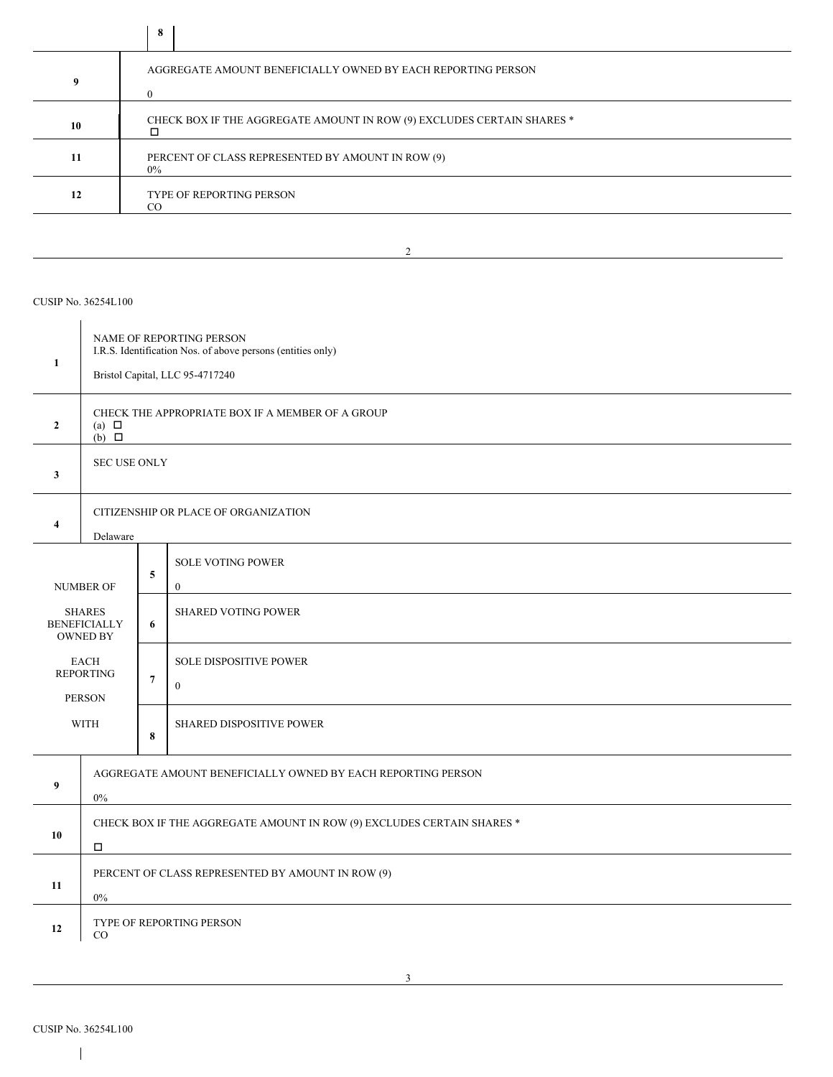| I<br>۰.<br>۰.<br>× |  |
|--------------------|--|
|                    |  |

|       | AGGREGATE AMOUNT BENEFICIALLY OWNED BY EACH REPORTING PERSON           |
|-------|------------------------------------------------------------------------|
|       | CHECK BOX IF THE AGGREGATE AMOUNT IN ROW (9) EXCLUDES CERTAIN SHARES * |
| $0\%$ | PERCENT OF CLASS REPRESENTED BY AMOUNT IN ROW (9)                      |
| CO    | <b>TYPE OF REPORTING PERSON</b>                                        |
|       |                                                                        |

2

# CUSIP No. 36254L100

| $\mathbf{1}$            | NAME OF REPORTING PERSON<br>I.R.S. Identification Nos. of above persons (entities only)<br>Bristol Capital, LLC 95-4717240 |   |                                           |  |
|-------------------------|----------------------------------------------------------------------------------------------------------------------------|---|-------------------------------------------|--|
| $\overline{2}$          | CHECK THE APPROPRIATE BOX IF A MEMBER OF A GROUP<br>(a) $\Box$<br>$(b)$ $\square$                                          |   |                                           |  |
| 3                       | <b>SEC USE ONLY</b>                                                                                                        |   |                                           |  |
| $\overline{\mathbf{4}}$ | CITIZENSHIP OR PLACE OF ORGANIZATION<br>Delaware                                                                           |   |                                           |  |
|                         | <b>NUMBER OF</b>                                                                                                           | 5 | <b>SOLE VOTING POWER</b><br>$\mathbf{0}$  |  |
|                         | <b>SHARES</b><br><b>BENEFICIALLY</b><br><b>OWNED BY</b>                                                                    | 6 | <b>SHARED VOTING POWER</b>                |  |
|                         | <b>EACH</b><br><b>REPORTING</b><br><b>PERSON</b>                                                                           |   | <b>SOLE DISPOSITIVE POWER</b><br>$\bf{0}$ |  |
| <b>WITH</b>             |                                                                                                                            | 8 | SHARED DISPOSITIVE POWER                  |  |
| 9                       | AGGREGATE AMOUNT BENEFICIALLY OWNED BY EACH REPORTING PERSON<br>$0\%$                                                      |   |                                           |  |
| 10                      | CHECK BOX IF THE AGGREGATE AMOUNT IN ROW (9) EXCLUDES CERTAIN SHARES *<br>$\Box$                                           |   |                                           |  |
|                         | PERCENT OF CLASS REPRESENTED BY AMOUNT IN ROW (9)                                                                          |   |                                           |  |

 $0\%$ **12** TYPE OF REPORTING PERSON CO

3

**11**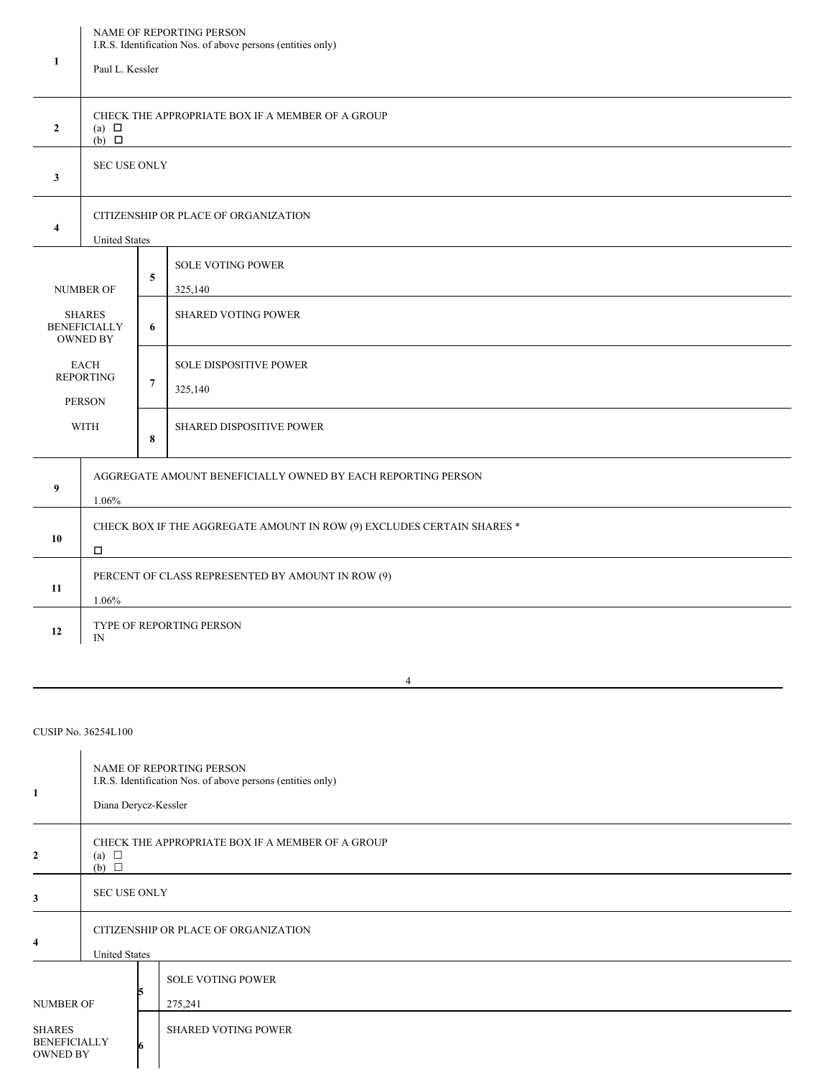| 1                       | <b>NAME OF REPORTING PERSON</b><br>I.R.S. Identification Nos. of above persons (entities only)<br>Paul L. Kessler |   |                                          |
|-------------------------|-------------------------------------------------------------------------------------------------------------------|---|------------------------------------------|
| $\overline{2}$          | CHECK THE APPROPRIATE BOX IF A MEMBER OF A GROUP<br>(a) $\Box$<br>$(b)$ $\square$                                 |   |                                          |
| 3                       | <b>SEC USE ONLY</b>                                                                                               |   |                                          |
| $\overline{\mathbf{4}}$ | CITIZENSHIP OR PLACE OF ORGANIZATION<br><b>United States</b>                                                      |   |                                          |
|                         | <b>NUMBER OF</b>                                                                                                  |   | <b>SOLE VOTING POWER</b><br>325,140      |
|                         | <b>SHARES</b><br><b>BENEFICIALLY</b><br><b>OWNED BY</b>                                                           |   | <b>SHARED VOTING POWER</b>               |
|                         | <b>EACH</b><br><b>REPORTING</b><br><b>PERSON</b>                                                                  |   | <b>SOLE DISPOSITIVE POWER</b><br>325,140 |
| <b>WITH</b>             |                                                                                                                   | 8 | SHARED DISPOSITIVE POWER                 |
|                         | AGGREGATE AMOUNT BENEFICIALLY OWNED BY EACH REPORTING PERSON                                                      |   |                                          |

| 9  | AGGREGATE AMOUNT BENEFICIALLY OWNED BY EACH REPORTING PERSON           |
|----|------------------------------------------------------------------------|
|    | $1.06\%$                                                               |
| 10 | CHECK BOX IF THE AGGREGATE AMOUNT IN ROW (9) EXCLUDES CERTAIN SHARES * |
|    | □                                                                      |
| 11 | PERCENT OF CLASS REPRESENTED BY AMOUNT IN ROW (9)                      |
|    | $1.06\%$                                                               |
| 12 | <b>TYPE OF REPORTING PERSON</b>                                        |
|    | IN                                                                     |

4

# CUSIP No. 36254L100

| 1                                                       | NAME OF REPORTING PERSON<br>I.R.S. Identification Nos. of above persons (entities only)<br>Diana Derycz-Kessler |   |                                     |
|---------------------------------------------------------|-----------------------------------------------------------------------------------------------------------------|---|-------------------------------------|
| $\overline{2}$                                          | CHECK THE APPROPRIATE BOX IF A MEMBER OF A GROUP<br>(a) $\Box$<br>$(b)$ $\square$                               |   |                                     |
| 3                                                       | <b>SEC USE ONLY</b>                                                                                             |   |                                     |
| $\overline{4}$                                          | CITIZENSHIP OR PLACE OF ORGANIZATION<br><b>United States</b>                                                    |   |                                     |
| <b>NUMBER OF</b>                                        |                                                                                                                 | 5 | <b>SOLE VOTING POWER</b><br>275,241 |
| <b>SHARES</b><br><b>BENEFICIALLY</b><br><b>OWNED BY</b> |                                                                                                                 | 6 | <b>SHARED VOTING POWER</b>          |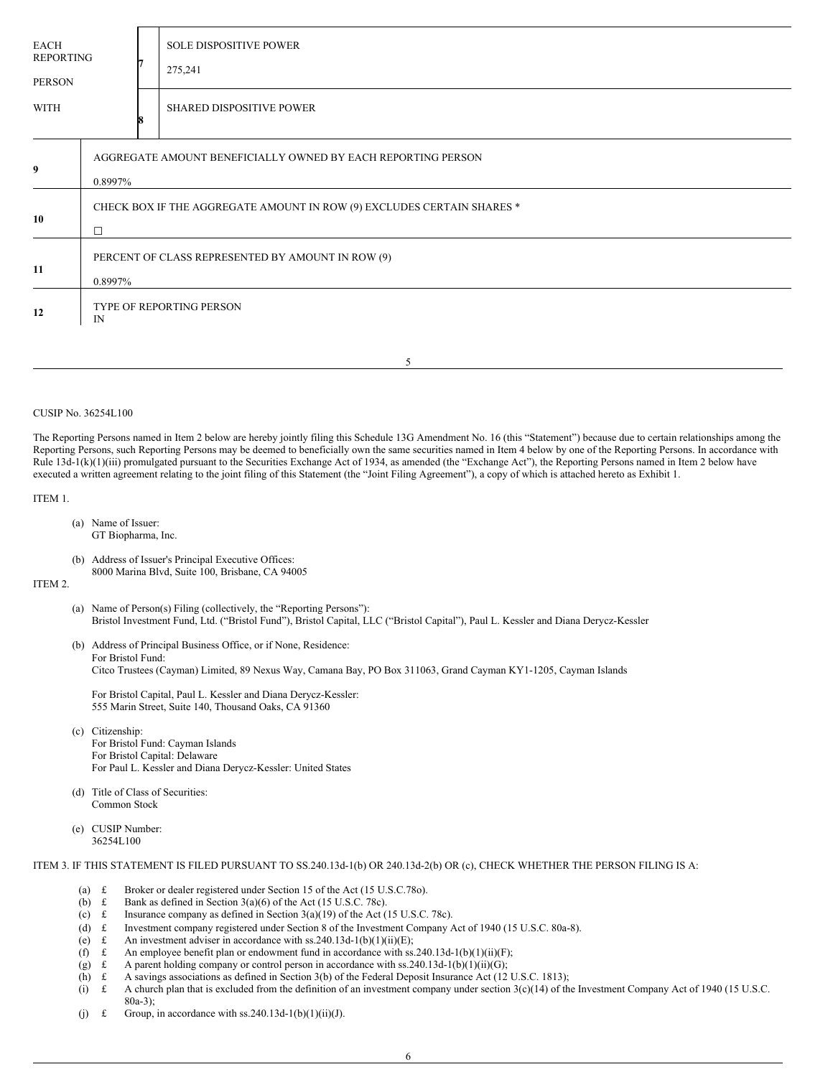| EACH<br><b>REPORTING</b><br>PERSON<br><b>WITH</b> |                                                                                  |   | <b>SOLE DISPOSITIVE POWER</b><br>275,241 |
|---------------------------------------------------|----------------------------------------------------------------------------------|---|------------------------------------------|
|                                                   |                                                                                  | 8 | <b>SHARED DISPOSITIVE POWER</b>          |
| 9                                                 | AGGREGATE AMOUNT BENEFICIALLY OWNED BY EACH REPORTING PERSON<br>0.8997%          |   |                                          |
| 10                                                | CHECK BOX IF THE AGGREGATE AMOUNT IN ROW (9) EXCLUDES CERTAIN SHARES *<br>$\Box$ |   |                                          |
| 11                                                | PERCENT OF CLASS REPRESENTED BY AMOUNT IN ROW (9)<br>0.8997%                     |   |                                          |
| 12                                                | TYPE OF REPORTING PERSON<br>IN                                                   |   |                                          |

### CUSIP No. 36254L100

The Reporting Persons named in Item 2 below are hereby jointly filing this Schedule 13G Amendment No. 16 (this "Statement") because due to certain relationships among the Reporting Persons, such Reporting Persons may be deemed to beneficially own the same securities named in Item 4 below by one of the Reporting Persons. In accordance with Rule 13d-1(k)(1)(iii) promulgated pursuant to the Securities Exchange Act of 1934, as amended (the "Exchange Act"), the Reporting Persons named in Item 2 below have executed a written agreement relating to the joint filing of this Statement (the "Joint Filing Agreement"), a copy of which is attached hereto as Exhibit 1.

5

ITEM 1.

- (a) Name of Issuer: GT Biopharma, Inc.
- (b) Address of Issuer's Principal Executive Offices: 8000 Marina Blvd, Suite 100, Brisbane, CA 94005

ITEM 2.

- (a) Name of Person(s) Filing (collectively, the "Reporting Persons"): Bristol Investment Fund, Ltd. ("Bristol Fund"), Bristol Capital, LLC ("Bristol Capital"), Paul L. Kessler and Diana Derycz-Kessler
- (b) Address of Principal Business Office, or if None, Residence: For Bristol Fund: Citco Trustees (Cayman) Limited, 89 Nexus Way, Camana Bay, PO Box 311063, Grand Cayman KY1-1205, Cayman Islands

For Bristol Capital, Paul L. Kessler and Diana Derycz-Kessler: 555 Marin Street, Suite 140, Thousand Oaks, CA 91360

- (c) Citizenship: For Bristol Fund: Cayman Islands For Bristol Capital: Delaware For Paul L. Kessler and Diana Derycz-Kessler: United States
- (d) Title of Class of Securities: Common Stock
- (e) CUSIP Number: 36254L100

ITEM 3. IF THIS STATEMENT IS FILED PURSUANT TO SS.240.13d-1(b) OR 240.13d-2(b) OR (c), CHECK WHETHER THE PERSON FILING IS A:

- (a) £ Broker or dealer registered under Section 15 of the Act (15 U.S.C.78o).
- (b)  $\pounds$  Bank as defined in Section 3(a)(6) of the Act (15 U.S.C. 78c).
- (c)  $\text{\textsterling}$  Insurance company as defined in Section 3(a)(19) of the Act (15 U.S.C. 78c).
- (d)  $\pounds$  Investment company registered under Section 8 of the Investment Company Act of 1940 (15 U.S.C. 80a-8).<br>(e)  $\pounds$  An investment adviser in accordance with ss.240.13d-1(b)(1)(ii)(E);
- (e)  $\pm$  An investment adviser in accordance with ss. 240.13d-1(b)(1)(ii)(E);<br>(f)  $\pm$  An employee benefit plan or endowment fund in accordance with ss.
- An employee benefit plan or endowment fund in accordance with ss.240.13d-1(b)(1)(ii)(F);
- (g)  $\pounds$  A parent holding company or control person in accordance with ss.240.13d-1(b)(1)(ii)(G);
- (h) £ A savings associations as defined in Section 3(b) of the Federal Deposit Insurance Act (12 U.S.C. 1813);
- (i)  $\pounds$  A church plan that is excluded from the definition of an investment company under section 3(c)(14) of the Investment Company Act of 1940 (15 U.S.C. 80a-3);
- (i)  $\pounds$  Group, in accordance with ss. 240.13d-1(b)(1)(ii)(J).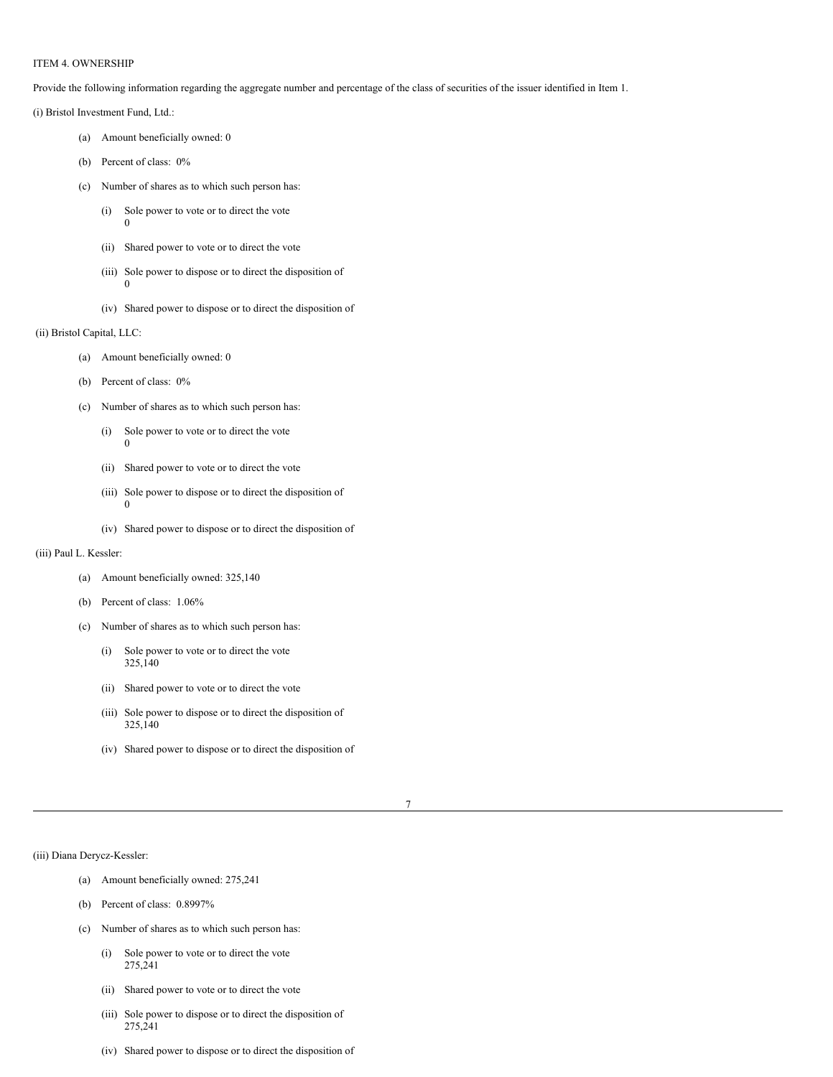#### ITEM 4. OWNERSHIP

Provide the following information regarding the aggregate number and percentage of the class of securities of the issuer identified in Item 1.

(i) Bristol Investment Fund, Ltd.:

- (a) Amount beneficially owned: 0
- (b) Percent of class: 0%
- (c) Number of shares as to which such person has:
	- (i) Sole power to vote or to direct the vote  $\overline{0}$
	- (ii) Shared power to vote or to direct the vote
	- (iii) Sole power to dispose or to direct the disposition of  $\theta$
	- (iv) Shared power to dispose or to direct the disposition of

#### (ii) Bristol Capital, LLC:

- (a) Amount beneficially owned: 0
- (b) Percent of class: 0%
- (c) Number of shares as to which such person has:
	- (i) Sole power to vote or to direct the vote  $\Omega$
	- (ii) Shared power to vote or to direct the vote
	- (iii) Sole power to dispose or to direct the disposition of  $\theta$
	- (iv) Shared power to dispose or to direct the disposition of

### (iii) Paul L. Kessler:

- (a) Amount beneficially owned: 325,140
- (b) Percent of class: 1.06%
- (c) Number of shares as to which such person has:
	- (i) Sole power to vote or to direct the vote 325,140
	- (ii) Shared power to vote or to direct the vote
	- (iii) Sole power to dispose or to direct the disposition of 325,140
	- (iv) Shared power to dispose or to direct the disposition of

(iii) Diana Derycz-Kessler:

- (a) Amount beneficially owned: 275,241
- (b) Percent of class: 0.8997%
- (c) Number of shares as to which such person has:
	- (i) Sole power to vote or to direct the vote 275,241
	- (ii) Shared power to vote or to direct the vote
	- (iii) Sole power to dispose or to direct the disposition of 275,241
	- (iv) Shared power to dispose or to direct the disposition of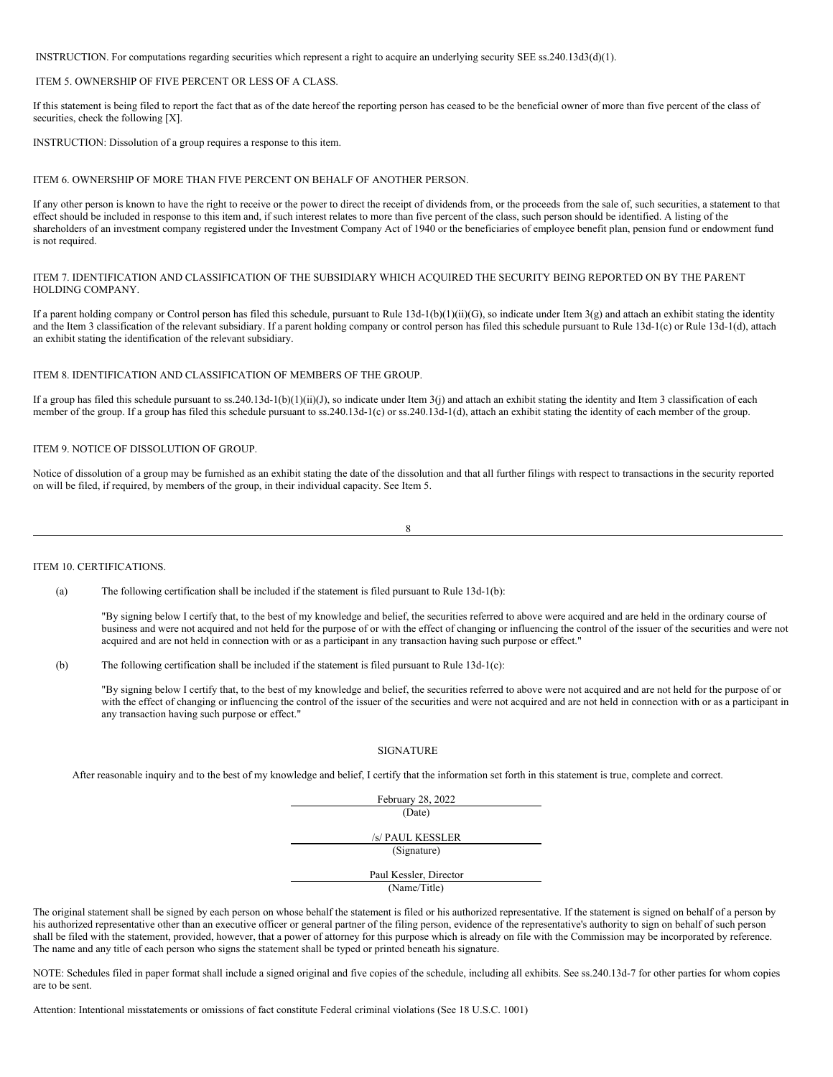INSTRUCTION. For computations regarding securities which represent a right to acquire an underlying security SEE ss.240.13d3(d)(1).

# ITEM 5. OWNERSHIP OF FIVE PERCENT OR LESS OF A CLASS.

If this statement is being filed to report the fact that as of the date hereof the reporting person has ceased to be the beneficial owner of more than five percent of the class of securities, check the following [X].

INSTRUCTION: Dissolution of a group requires a response to this item.

## ITEM 6. OWNERSHIP OF MORE THAN FIVE PERCENT ON BEHALF OF ANOTHER PERSON.

If any other person is known to have the right to receive or the power to direct the receipt of dividends from, or the proceeds from the sale of, such securities, a statement to that effect should be included in response to this item and, if such interest relates to more than five percent of the class, such person should be identified. A listing of the shareholders of an investment company registered under the Investment Company Act of 1940 or the beneficiaries of employee benefit plan, pension fund or endowment fund is not required.

# ITEM 7. IDENTIFICATION AND CLASSIFICATION OF THE SUBSIDIARY WHICH ACQUIRED THE SECURITY BEING REPORTED ON BY THE PARENT HOLDING COMPANY.

If a parent holding company or Control person has filed this schedule, pursuant to Rule 13d-1(b)(1)(ii)(G), so indicate under Item 3(g) and attach an exhibit stating the identity and the Item 3 classification of the relevant subsidiary. If a parent holding company or control person has filed this schedule pursuant to Rule 13d-1(c) or Rule 13d-1(d), attach an exhibit stating the identification of the relevant subsidiary.

#### ITEM 8. IDENTIFICATION AND CLASSIFICATION OF MEMBERS OF THE GROUP.

If a group has filed this schedule pursuant to ss.240.13d-1(b)(1)(ii)(J), so indicate under Item 3(j) and attach an exhibit stating the identity and Item 3 classification of each member of the group. If a group has filed this schedule pursuant to ss.240.13d-1(c) or ss.240.13d-1(d), attach an exhibit stating the identity of each member of the group.

# ITEM 9. NOTICE OF DISSOLUTION OF GROUP.

Notice of dissolution of a group may be furnished as an exhibit stating the date of the dissolution and that all further filings with respect to transactions in the security reported on will be filed, if required, by members of the group, in their individual capacity. See Item 5.

$$
8 \\
$$

#### ITEM 10. CERTIFICATIONS.

(a) The following certification shall be included if the statement is filed pursuant to Rule 13d-1(b):

"By signing below I certify that, to the best of my knowledge and belief, the securities referred to above were acquired and are held in the ordinary course of business and were not acquired and not held for the purpose of or with the effect of changing or influencing the control of the issuer of the securities and were not acquired and are not held in connection with or as a participant in any transaction having such purpose or effect."

(b) The following certification shall be included if the statement is filed pursuant to Rule 13d-1(c):

"By signing below I certify that, to the best of my knowledge and belief, the securities referred to above were not acquired and are not held for the purpose of or with the effect of changing or influencing the control of the issuer of the securities and were not acquired and are not held in connection with or as a participant in any transaction having such purpose or effect."

#### SIGNATURE

After reasonable inquiry and to the best of my knowledge and belief, I certify that the information set forth in this statement is true, complete and correct.

| February 28, 2022       |
|-------------------------|
| (Date)                  |
|                         |
| /s/ PAUL KESSLER        |
| (Signature)             |
|                         |
| Paul Kessler, Director  |
| $\Delta T = 70^\circ.1$ |

(Name/Title)

The original statement shall be signed by each person on whose behalf the statement is filed or his authorized representative. If the statement is signed on behalf of a person by his authorized representative other than an executive officer or general partner of the filing person, evidence of the representative's authority to sign on behalf of such person shall be filed with the statement, provided, however, that a power of attorney for this purpose which is already on file with the Commission may be incorporated by reference. The name and any title of each person who signs the statement shall be typed or printed beneath his signature.

NOTE: Schedules filed in paper format shall include a signed original and five copies of the schedule, including all exhibits. See ss.240.13d-7 for other parties for whom copies are to be sent.

Attention: Intentional misstatements or omissions of fact constitute Federal criminal violations (See 18 U.S.C. 1001)